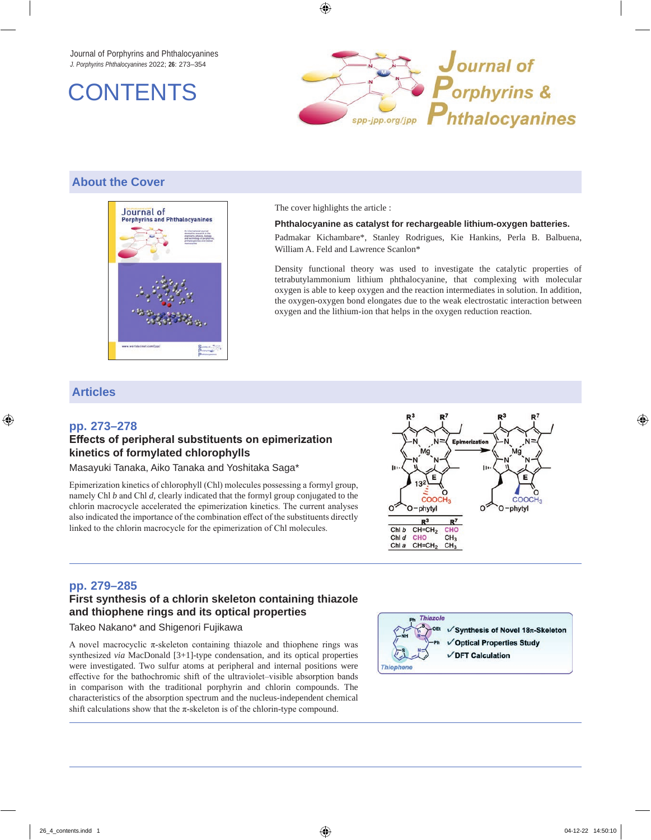Journal of Porphyrins and Phthalocyanines *J. Porphyrins Phthalocyanines* 2022; **26**: 273–354





### **About the Cover**



The cover highlights the article :

#### **Phthalocyanine as catalyst for rechargeable lithium-oxygen batteries.**

Padmakar Kichambare\*, Stanley Rodrigues, Kie Hankins, Perla B. Balbuena, William A. Feld and Lawrence Scanlon\*

Density functional theory was used to investigate the catalytic properties of tetrabutylammonium lithium phthalocyanine, that complexing with molecular oxygen is able to keep oxygen and the reaction intermediates in solution. In addition, the oxygen-oxygen bond elongates due to the weak electrostatic interaction between oxygen and the lithium-ion that helps in the oxygen reduction reaction.

#### **Articles**

#### **pp. 273–278**

#### **Effects of peripheral substituents on epimerization kinetics of formylated chlorophylls**

Masayuki Tanaka, Aiko Tanaka and Yoshitaka Saga\*

Epimerization kinetics of chlorophyll (Chl) molecules possessing a formyl group, namely Chl *b* and Chl *d*, clearly indicated that the formyl group conjugated to the chlorin macrocycle accelerated the epimerization kinetics. The current analyses also indicated the importance of the combination effect of the substituents directly linked to the chlorin macrocycle for the epimerization of Chl molecules.



#### **pp. 279–285**

## **First synthesis of a chlorin skeleton containing thiazole and thiophene rings and its optical properties**

Takeo Nakano\* and Shigenori Fujikawa

A novel macrocyclic π-skeleton containing thiazole and thiophene rings was synthesized *via* MacDonald [3+1]-type condensation, and its optical properties were investigated. Two sulfur atoms at peripheral and internal positions were effective for the bathochromic shift of the ultraviolet–visible absorption bands in comparison with the traditional porphyrin and chlorin compounds. The characteristics of the absorption spectrum and the nucleus-independent chemical shift calculations show that the  $\pi$ -skeleton is of the chlorin-type compound.

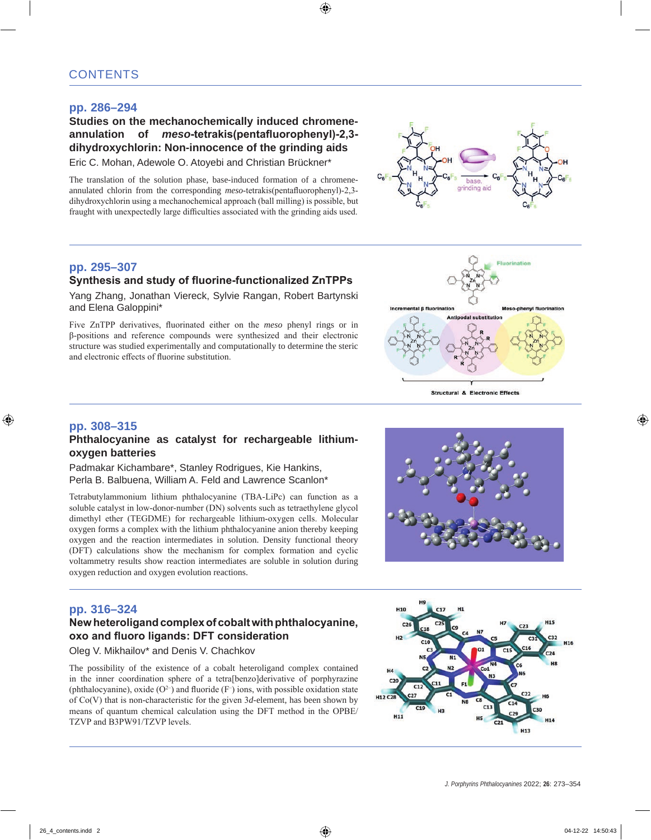### **pp. 286–294**

## **Studies on the mechanochemically induced chromeneannulation of** *meso***-tetrakis(pentafluorophenyl)-2,3 dihydroxychlorin: Non-innocence of the grinding aids**

Eric C. Mohan, Adewole O. Atoyebi and Christian Brückner\*

The translation of the solution phase, base-induced formation of a chromeneannulated chlorin from the corresponding *meso*-tetrakis(pentafluorophenyl)-2,3 dihydroxychlorin using a mechanochemical approach (ball milling) is possible, but fraught with unexpectedly large difficulties associated with the grinding aids used.

### **pp. 295–307 Synthesis and study of fluorine-functionalized ZnTPPs**

Yang Zhang, Jonathan Viereck, Sylvie Rangan, Robert Bartynski and Elena Galoppini\*

Five ZnTPP derivatives, fluorinated either on the *meso* phenyl rings or in β-positions and reference compounds were synthesized and their electronic structure was studied experimentally and computationally to determine the steric and electronic effects of fluorine substitution.





**Structural & Electronic Effects** 

### **pp. 308–315**

#### **Phthalocyanine as catalyst for rechargeable lithiumoxygen batteries**

Padmakar Kichambare\*, Stanley Rodrigues, Kie Hankins, Perla B. Balbuena, William A. Feld and Lawrence Scanlon\*

Tetrabutylammonium lithium phthalocyanine (TBA-LiPc) can function as a soluble catalyst in low-donor-number (DN) solvents such as tetraethylene glycol dimethyl ether (TEGDME) for rechargeable lithium-oxygen cells. Molecular oxygen forms a complex with the lithium phthalocyanine anion thereby keeping oxygen and the reaction intermediates in solution. Density functional theory (DFT) calculations show the mechanism for complex formation and cyclic voltammetry results show reaction intermediates are soluble in solution during oxygen reduction and oxygen evolution reactions.



# **pp. 316–324**

### **New heteroligand complex of cobalt with phthalocyanine, oxo and fluoro ligands: DFT consideration**

Oleg V. Mikhailov\* and Denis V. Chachkov

The possibility of the existence of a cobalt heteroligand complex contained in the inner coordination sphere of a tetra[benzo]derivative of porphyrazine (phthalocyanine), oxide  $(O^{2-})$  and fluoride  $(F^-)$  ions, with possible oxidation state of Co(V) that is non-characteristic for the given 3*d*-element, has been shown by means of quantum chemical calculation using the DFT method in the OPBE/ TZVP and B3PW91/TZVP levels.